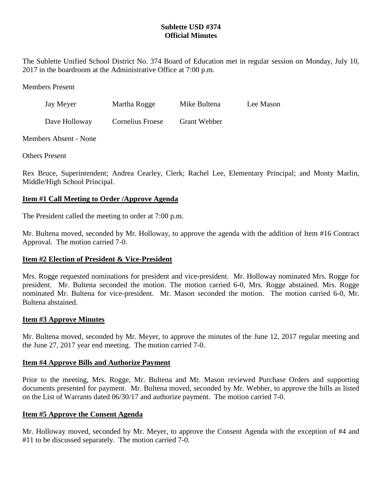# **Sublette USD #374 Official Minutes**

The Sublette Unified School District No. 374 Board of Education met in regular session on Monday, July 10, 2017 in the boardroom at the Administrative Office at 7:00 p.m.

Members Present

| Jay Meyer     | Martha Rogge            | Mike Bultena | Lee Mason |
|---------------|-------------------------|--------------|-----------|
| Dave Holloway | <b>Cornelius Froese</b> | Grant Webber |           |

Members Absent - None

Others Present

Rex Bruce, Superintendent; Andrea Cearley, Clerk; Rachel Lee, Elementary Principal; and Monty Marlin, Middle/High School Principal.

## **Item #1 Call Meeting to Order /Approve Agenda**

The President called the meeting to order at 7:00 p.m.

Mr. Bultena moved, seconded by Mr. Holloway, to approve the agenda with the addition of Item #16 Contract Approval. The motion carried 7-0.

## **Item #2 Election of President & Vice-President**

Mrs. Rogge requested nominations for president and vice-president. Mr. Holloway nominated Mrs. Rogge for president. Mr. Bultena seconded the motion. The motion carried 6-0, Mrs. Rogge abstained. Mrs. Rogge nominated Mr. Bultena for vice-president. Mr. Mason seconded the motion. The motion carried 6-0, Mr. Bultena abstained.

### **Item #3 Approve Minutes**

Mr. Bultena moved, seconded by Mr. Meyer, to approve the minutes of the June 12, 2017 regular meeting and the June 27, 2017 year end meeting. The motion carried 7-0.

### **Item #4 Approve Bills and Authorize Payment**

Prior to the meeting, Mrs. Rogge, Mr. Bultena and Mr. Mason reviewed Purchase Orders and supporting documents presented for payment. Mr. Bultena moved, seconded by Mr. Webber, to approve the bills as listed on the List of Warrants dated 06/30/17 and authorize payment. The motion carried 7-0.

## **Item #5 Approve the Consent Agenda**

Mr. Holloway moved, seconded by Mr. Meyer, to approve the Consent Agenda with the exception of #4 and #11 to be discussed separately. The motion carried 7-0.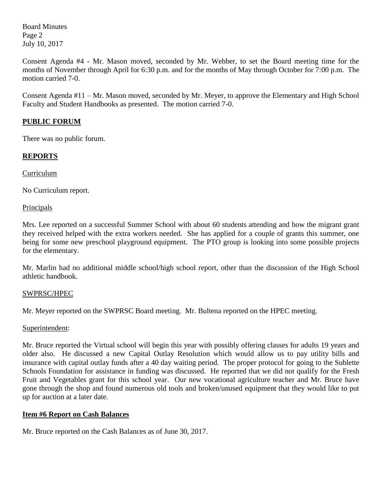Board Minutes Page 2 July 10, 2017

Consent Agenda #4 - Mr. Mason moved, seconded by Mr. Webber, to set the Board meeting time for the months of November through April for 6:30 p.m. and for the months of May through October for 7:00 p.m. The motion carried 7-0.

Consent Agenda #11 – Mr. Mason moved, seconded by Mr. Meyer, to approve the Elementary and High School Faculty and Student Handbooks as presented. The motion carried 7-0.

# **PUBLIC FORUM**

There was no public forum.

# **REPORTS**

Curriculum

No Curriculum report.

**Principals** 

Mrs. Lee reported on a successful Summer School with about 60 students attending and how the migrant grant they received helped with the extra workers needed. She has applied for a couple of grants this summer, one being for some new preschool playground equipment. The PTO group is looking into some possible projects for the elementary.

Mr. Marlin had no additional middle school/high school report, other than the discussion of the High School athletic handbook.

## SWPRSC/HPEC

Mr. Meyer reported on the SWPRSC Board meeting. Mr. Bultena reported on the HPEC meeting.

### Superintendent:

Mr. Bruce reported the Virtual school will begin this year with possibly offering classes for adults 19 years and older also. He discussed a new Capital Outlay Resolution which would allow us to pay utility bills and insurance with capital outlay funds after a 40 day waiting period. The proper protocol for going to the Sublette Schools Foundation for assistance in funding was discussed. He reported that we did not qualify for the Fresh Fruit and Vegetables grant for this school year. Our new vocational agriculture teacher and Mr. Bruce have gone through the shop and found numerous old tools and broken/unused equipment that they would like to put up for auction at a later date.

## **Item #6 Report on Cash Balances**

Mr. Bruce reported on the Cash Balances as of June 30, 2017.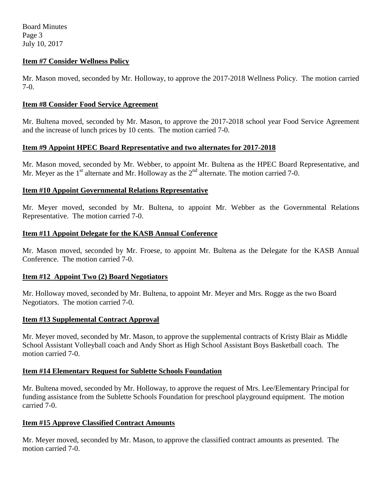Board Minutes Page 3 July 10, 2017

## **Item #7 Consider Wellness Policy**

Mr. Mason moved, seconded by Mr. Holloway, to approve the 2017-2018 Wellness Policy. The motion carried 7-0.

### **Item #8 Consider Food Service Agreement**

Mr. Bultena moved, seconded by Mr. Mason, to approve the 2017-2018 school year Food Service Agreement and the increase of lunch prices by 10 cents. The motion carried 7-0.

### **Item #9 Appoint HPEC Board Representative and two alternates for 2017-2018**

Mr. Mason moved, seconded by Mr. Webber, to appoint Mr. Bultena as the HPEC Board Representative, and Mr. Meyer as the  $1<sup>st</sup>$  alternate and Mr. Holloway as the  $2<sup>nd</sup>$  alternate. The motion carried 7-0.

## **Item #10 Appoint Governmental Relations Representative**

Mr. Meyer moved, seconded by Mr. Bultena, to appoint Mr. Webber as the Governmental Relations Representative. The motion carried 7-0.

## **Item #11 Appoint Delegate for the KASB Annual Conference**

Mr. Mason moved, seconded by Mr. Froese, to appoint Mr. Bultena as the Delegate for the KASB Annual Conference. The motion carried 7-0.

### **Item #12 Appoint Two (2) Board Negotiators**

Mr. Holloway moved, seconded by Mr. Bultena, to appoint Mr. Meyer and Mrs. Rogge as the two Board Negotiators. The motion carried 7-0.

### **Item #13 Supplemental Contract Approval**

Mr. Meyer moved, seconded by Mr. Mason, to approve the supplemental contracts of Kristy Blair as Middle School Assistant Volleyball coach and Andy Short as High School Assistant Boys Basketball coach. The motion carried 7-0.

### **Item #14 Elementary Request for Sublette Schools Foundation**

Mr. Bultena moved, seconded by Mr. Holloway, to approve the request of Mrs. Lee/Elementary Principal for funding assistance from the Sublette Schools Foundation for preschool playground equipment. The motion carried 7-0.

### **Item #15 Approve Classified Contract Amounts**

Mr. Meyer moved, seconded by Mr. Mason, to approve the classified contract amounts as presented. The motion carried 7-0.